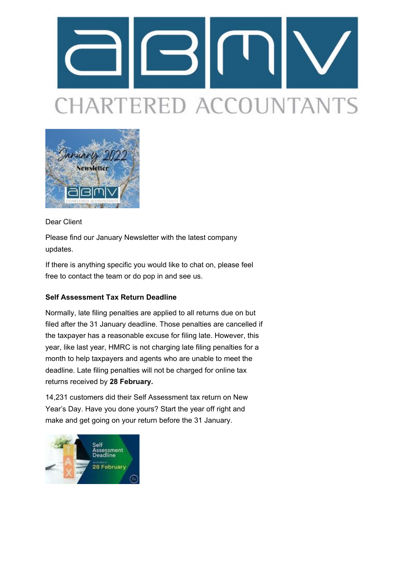# HARTERED ACCOUNTANTS



# Dear Client

Please find our January Newsletter with the latest company updates.

If there is anything specific you would like to chat on, please feel free to contact the team or do pop in and see us.

# **Self Assessment Tax Return Deadline**

Normally, late filing penalties are applied to all returns due on but filed after the 31 January deadline. Those penalties are cancelled if the taxpayer has a reasonable excuse for filing late. However, this year, like last year, HMRC is not charging late filing penalties for a month to help taxpayers and agents who are unable to meet the deadline. Late filing penalties will not be charged for online tax returns received by **28 February.**

14,231 customers did their Self Assessment tax return on New Year's Day. Have you done yours? Start the year off right and make and get going on your return before the 31 January.

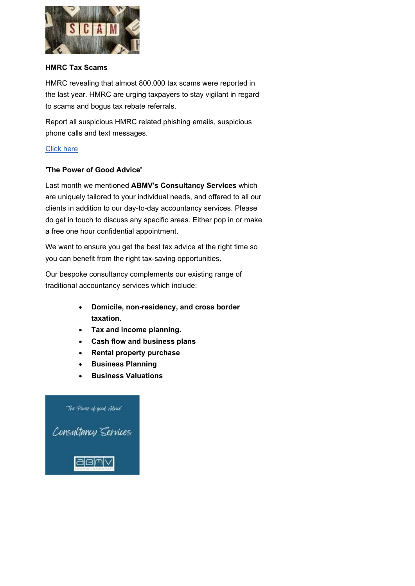

#### **HMRC Tax Scams**

HMRC revealing that almost 800,000 tax scams were reported in the last year. HMRC are urging taxpayers to stay vigilant in regard to scams and bogus tax rebate referrals.

Report all suspicious HMRC related phishing emails, suspicious phone calls and text messages.

## [Click here](http://click.maildeliveri.es/ls/click?upn=CUpFtyXQXbii-2BFRRdEIha-2FukQ1ylgYbzutv-2BspFitU4-3DfKcy_-2FjJDdqu-2FnO7wJiVnT02BngB51URmiNcf9JCtOQ-2Bd0-2FykmlUyRyNRZC9sOMiV6rXG6CbvcRlGRE7FwveZyc6bk8jReYGBkn-2BeMJMx9ceJEUixxsE4yuOv9ha4HJW7X708tUgBzZE2URNmS9jS7cVNtD9WP6BAZnQc0dqrymhB1k2KuVWFcklV8xjTYtQl8Dv1zsqIFZUMGMI5cwkagihjUiMZs0cMYMQVstx1YQSzBYaabqfCZRjUllVWtyRv-2B7lX7n-2FvXKF1nqp9cJ-2FSvQo-2FDSiULi76EJuOuLTT7m1rpDizl-2BSO-2Bsg3NXNiv7TPFJnA)

## **'The Power of Good Advice'**

Last month we mentioned **ABMV's Consultancy Services** which are uniquely tailored to your individual needs, and offered to all our clients in addition to our day-to-day accountancy services. Please do get in touch to discuss any specific areas. Either pop in or make a free one hour confidential appointment.

We want to ensure you get the best tax advice at the right time so you can benefit from the right tax-saving opportunities.

Our bespoke consultancy complements our existing range of traditional accountancy services which include:

- **Domicile, non-residency, and cross border taxation**.
- **Tax and income planning.**
- **Cash flow and business plans**
- **Rental property purchase**
- **Business Planning**
- **Business Valuations**

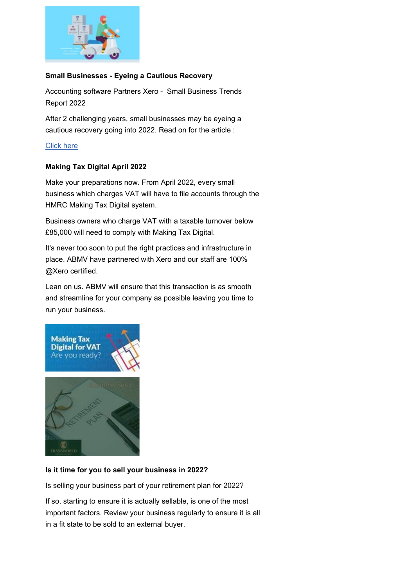

## **Small Businesses - Eyeing a Cautious Recovery**

Accounting software Partners Xero - Small Business Trends Report 2022

After 2 challenging years, small businesses may be eyeing a cautious recovery going into 2022. Read on for the article :

## [Click here](http://click.maildeliveri.es/ls/click?upn=CUpFtyXQXbii-2BFRRdEIhayF4VhqA9EWhgcR5HU32-2Fh8-3DUtma_-2FjJDdqu-2FnO7wJiVnT02BngB51URmiNcf9JCtOQ-2Bd0-2FykmlUyRyNRZC9sOMiV6rXG6CbvcRlGRE7FwveZyc6bk8jReYGBkn-2BeMJMx9ceJEUh-2BcdHxrNnJTJdOlFmLnTwJgomSgN1v3NB5Ek1j3V2Ud0hvnm6-2FkOpdafof05ZRh3KNF0RIU3bW-2FUy6QnRXD8hCV-2BeGLOhFn4pHX1Ycoe4jOzuqKE1AqHzmyiSOy63y70z9Pkc8uUuSHoAlqCrYBsbk7-2Fusw0TaC4PMhqp5M9Y6w1xUXx5-2BO4tBgujTYxEvFwIRIOQycjdXHOxkoQ6pmtEU)

# **Making Tax Digital April 2022**

Make your preparations now. From April 2022, every small business which charges VAT will have to file accounts through the HMRC Making Tax Digital system.

Business owners who charge VAT with a taxable turnover below £85,000 will need to comply with Making Tax Digital.

It's never too soon to put the right practices and infrastructure in place. ABMV have partnered with Xero and our staff are 100% @Xero certified.

Lean on us. ABMV will ensure that this transaction is as smooth and streamline for your company as possible leaving you time to run your business.



## **Is it time for you to sell your business in 2022?**

Is selling your business part of your retirement plan for 2022?

If so, starting to ensure it is actually sellable, is one of the most important factors. Review your business regularly to ensure it is all in a fit state to be sold to an external buyer.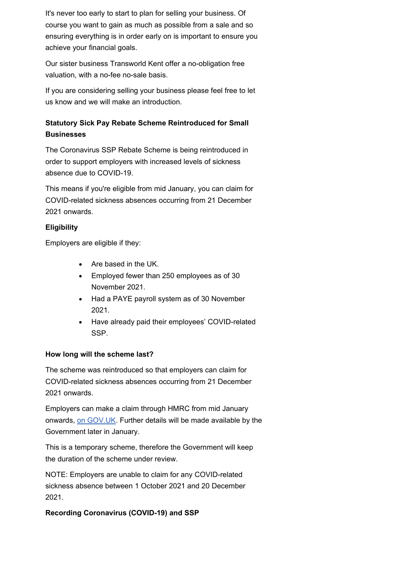It's never too early to start to plan for selling your business. Of course you want to gain as much as possible from a sale and so ensuring everything is in order early on is important to ensure you achieve your financial goals.

Our sister business Transworld Kent offer a no-obligation free valuation, with a no-fee no-sale basis.

If you are considering selling your business please feel free to let us know and we will make an introduction.

# **Statutory Sick Pay Rebate Scheme Reintroduced for Small Businesses**

The Coronavirus SSP Rebate Scheme is being reintroduced in order to support employers with increased levels of sickness absence due to COVID-19.

This means if you're eligible from mid January, you can claim for COVID-related sickness absences occurring from 21 December 2021 onwards.

# **Eligibility**

Employers are eligible if they:

- Are based in the UK.
- Employed fewer than 250 employees as of 30 November 2021.
- Had a PAYE payroll system as of 30 November 2021.
- Have already paid their employees' COVID-related SSP.

## **How long will the scheme last?**

The scheme was reintroduced so that employers can claim for COVID-related sickness absences occurring from 21 December 2021 onwards.

Employers can make a claim through HMRC from mid January onwards, [on GOV.UK.](http://click.maildeliveri.es/ls/click?upn=CUpFtyXQXbii-2BFRRdEIha1-2BmNzbkHjAMvdeff7ZAtY5MzQoOAvowMSy-2F-2BsXgRMMdhVsap-2FQR-2BVZWFTEXjKT-2FkZ4CuMkqJu7cfMM-2BItzco7byYl5KZyHp0fNaiz-2F9fIzQRpsmKf7CJmD4QYWVCJO2IJN86ioXo6Onq6Db5MM61UE-3D89Be_-2FjJDdqu-2FnO7wJiVnT02BngB51URmiNcf9JCtOQ-2Bd0-2FykmlUyRyNRZC9sOMiV6rXG6CbvcRlGRE7FwveZyc6bk8jReYGBkn-2BeMJMx9ceJEUgcImGJd-2Bx0mPXT-2BP-2F14tnYLIlgwaplsz1ph5-2B-2BvO8sVsxuk7wAOJqkjhMJ31H-2Frsfj3APsP2MdHb6Xzfzr8wiwSN4G-2BWbsVaSSngUPwnXHHtdIzxJA-2FOakr0ZflBWHLO4sSlgKeQT2YewlIrLS1SilIkfgY6z3-2BOelhORcOlfNaFL1lcfx5lVdRBpnYvrNHC1CdLGG4ckygeYq0QVMoYMH) Further details will be made available by the Government later in January.

This is a temporary scheme, therefore the Government will keep the duration of the scheme under review.

NOTE: Employers are unable to claim for any COVID-related sickness absence between 1 October 2021 and 20 December 2021.

# **Recording Coronavirus (COVID-19) and SSP**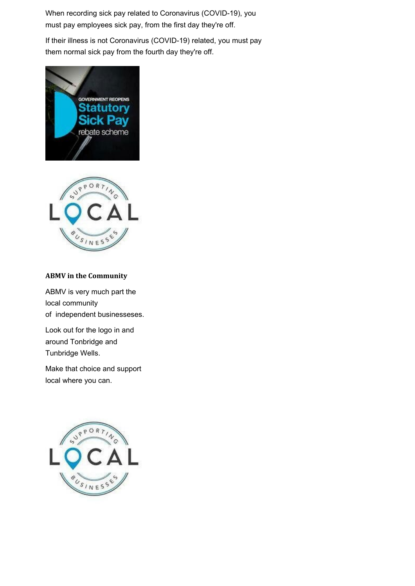When recording sick pay related to Coronavirus (COVID-19), you must pay employees sick pay, from the first day they're off.

If their illness is not Coronavirus (COVID-19) related, you must pay them normal sick pay from the fourth day they're off.





## **ABMV in the Community**

ABMV is very much part the local community of independent businesseses.

Look out for the logo in and around Tonbridge and Tunbridge Wells.

Make that choice and support local where you can.